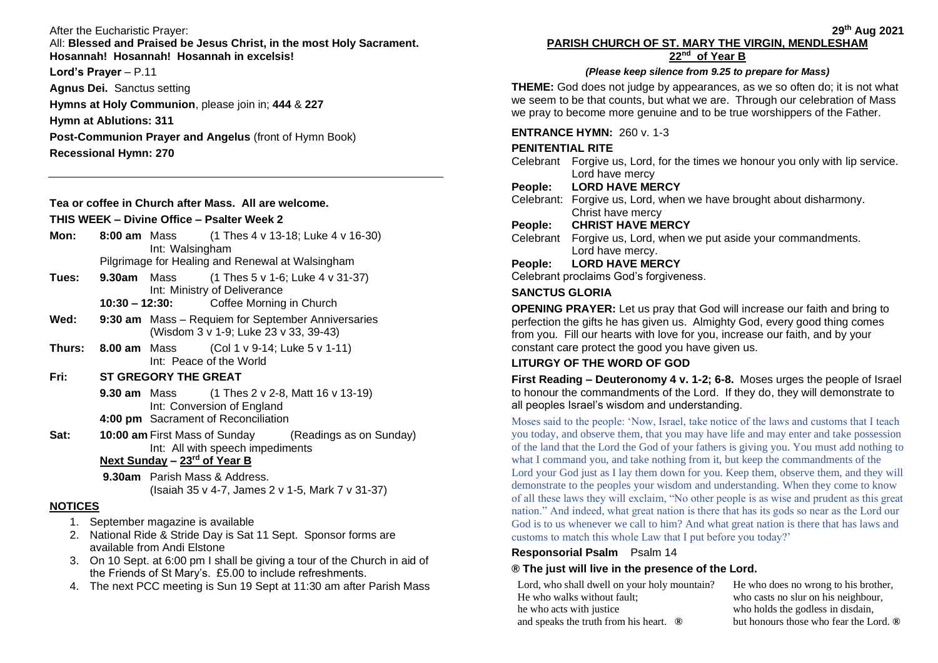#### After the Eucharistic Prayer:

All: **Blessed and Praised be Jesus Christ, in the most Holy Sacrament. Hosannah! Hosannah! Hosannah in excelsis!**

**Lord's Prayer** – P.11

**Agnus Dei.** Sanctus setting **Hymns at Holy Communion**, please join in; **444** & **227 Hymn at Ablutions: 311**

**Post-Communion Prayer and Angelus** (front of Hymn Book) **Recessional Hymn: 270**

### **Tea or coffee in Church after Mass. All are welcome.**

#### **THIS WEEK – Divine Office – Psalter Week 2**

- **Mon: 8:00 am** Mass (1 Thes 4 v 13-18; Luke 4 v 16-30) Int: Walsingham Pilgrimage for Healing and Renewal at Walsingham
- **Tues: 9.30am** Mass (1 Thes 5 v 1-6; Luke 4 v 31-37) Int: Ministry of Deliverance
	- **10:30 – 12:30:** Coffee Morning in Church
- **Wed: 9:30 am** Mass Requiem for September Anniversaries (Wisdom 3 v 1-9; Luke 23 v 33, 39-43)
- **Thurs: 8.00 am** Mass (Col 1 v 9-14; Luke 5 v 1-11) Int: Peace of the World

# **Fri: ST GREGORY THE GREAT**

**9.30 am** Mass (1 Thes 2 v 2-8, Matt 16 v 13-19) Int: Conversion of England **4:00 pm** Sacrament of Reconciliation

**Sat: 10:00 am** First Mass of Sunday (Readings as on Sunday) Int: All with speech impediments

### **Next Sunday – 23rd of Year B**

**9.30am** Parish Mass & Address. (Isaiah 35 v 4-7, James 2 v 1-5, Mark 7 v 31-37)

### **NOTICES**

- 1. September magazine is available
- 2. National Ride & Stride Day is Sat 11 Sept. Sponsor forms are available from Andi Elstone
- 3. On 10 Sept. at 6:00 pm I shall be giving a tour of the Church in aid of the Friends of St Mary's. £5.00 to include refreshments.
- 4. The next PCC meeting is Sun 19 Sept at 11:30 am after Parish Mass

#### **29th Aug 2021 PARISH CHURCH OF ST. MARY THE VIRGIN, MENDLESHAM 22nd of Year B**

### *(Please keep silence from 9.25 to prepare for Mass)*

**THEME:** God does not judge by appearances, as we so often do; it is not what we seem to be that counts, but what we are. Through our celebration of Mass we pray to become more genuine and to be true worshippers of the Father.

### **ENTRANCE HYMN:** 260 v. 1-3

# **PENITENTIAL RITE**

Celebrant Forgive us, Lord, for the times we honour you only with lip service. Lord have mercy

# **People: LORD HAVE MERCY**

Celebrant: Forgive us, Lord, when we have brought about disharmony. Christ have mercy

# **People: CHRIST HAVE MERCY**

Celebrant Forgive us, Lord, when we put aside your commandments. Lord have mercy.

# **People: LORD HAVE MERCY**

Celebrant proclaims God's forgiveness.

# **SANCTUS GLORIA**

**OPENING PRAYER:** Let us pray that God will increase our faith and bring to perfection the gifts he has given us. Almighty God, every good thing comes from you. Fill our hearts with love for you, increase our faith, and by your constant care protect the good you have given us.

# **LITURGY OF THE WORD OF GOD**

**First Reading – Deuteronomy 4 v. 1-2; 6-8.** Moses urges the people of Israel to honour the commandments of the Lord. If they do, they will demonstrate to all peoples Israel's wisdom and understanding.

Moses said to the people: 'Now, Israel, take notice of the laws and customs that I teach you today, and observe them, that you may have life and may enter and take possession of the land that the Lord the God of your fathers is giving you. You must add nothing to what I command you, and take nothing from it, but keep the commandments of the Lord your God just as I lay them down for you. Keep them, observe them, and they will demonstrate to the peoples your wisdom and understanding. When they come to know of all these laws they will exclaim, "No other people is as wise and prudent as this great nation." And indeed, what great nation is there that has its gods so near as the Lord our God is to us whenever we call to him? And what great nation is there that has laws and customs to match this whole Law that I put before you today?'

### **Responsorial Psalm** Psalm 14

# **® The just will live in the presence of the Lord.**

Lord, who shall dwell on your holy mountain? He who walks without fault; he who acts with justice and speaks the truth from his heart. **®**

He who does no wrong to his brother, who casts no slur on his neighbour, who holds the godless in disdain, but honours those who fear the Lord. **®**